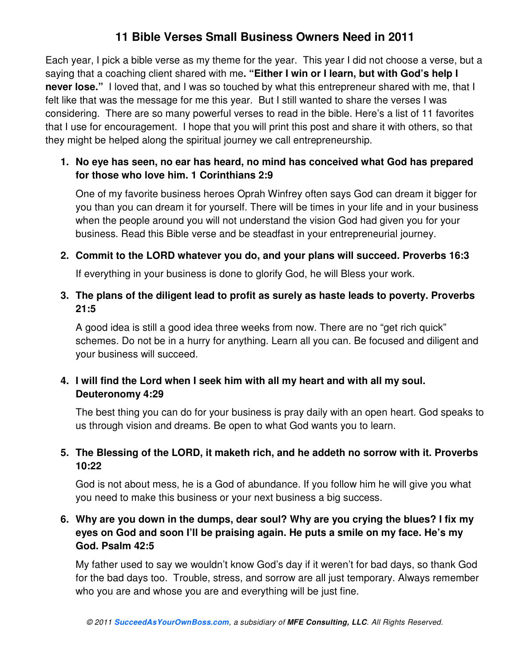# **11 Bible Verses Small Business Owners Need in 2011**

Each year, I pick a bible verse as my theme for the year. This year I did not choose a verse, but a saying that a coaching client shared with me**. "Either I win or I learn, but with God's help I never lose."** I loved that, and I was so touched by what this entrepreneur shared with me, that I felt like that was the message for me this year. But I still wanted to share the verses I was considering. There are so many powerful verses to read in the bible. Here's a list of 11 favorites that I use for encouragement. I hope that you will print this post and share it with others, so that they might be helped along the spiritual journey we call entrepreneurship.

## **1. No eye has seen, no ear has heard, no mind has conceived what God has prepared for those who love him. 1 Corinthians 2:9**

One of my favorite business heroes Oprah Winfrey often says God can dream it bigger for you than you can dream it for yourself. There will be times in your life and in your business when the people around you will not understand the vision God had given you for your business. Read this Bible verse and be steadfast in your entrepreneurial journey.

### **2. Commit to the LORD whatever you do, and your plans will succeed. Proverbs 16:3**

If everything in your business is done to glorify God, he will Bless your work.

### **3. The plans of the diligent lead to profit as surely as haste leads to poverty. Proverbs 21:5**

A good idea is still a good idea three weeks from now. There are no "get rich quick" schemes. Do not be in a hurry for anything. Learn all you can. Be focused and diligent and your business will succeed.

## **4. I will find the Lord when I seek him with all my heart and with all my soul. Deuteronomy 4:29**

The best thing you can do for your business is pray daily with an open heart. God speaks to us through vision and dreams. Be open to what God wants you to learn.

## **5. The Blessing of the LORD, it maketh rich, and he addeth no sorrow with it. Proverbs 10:22**

God is not about mess, he is a God of abundance. If you follow him he will give you what you need to make this business or your next business a big success.

## **6. Why are you down in the dumps, dear soul? Why are you crying the blues? I fix my eyes on God and soon I'll be praising again. He puts a smile on my face. He's my God. Psalm 42:5**

My father used to say we wouldn't know God's day if it weren't for bad days, so thank God for the bad days too. Trouble, stress, and sorrow are all just temporary. Always remember who you are and whose you are and everything will be just fine.